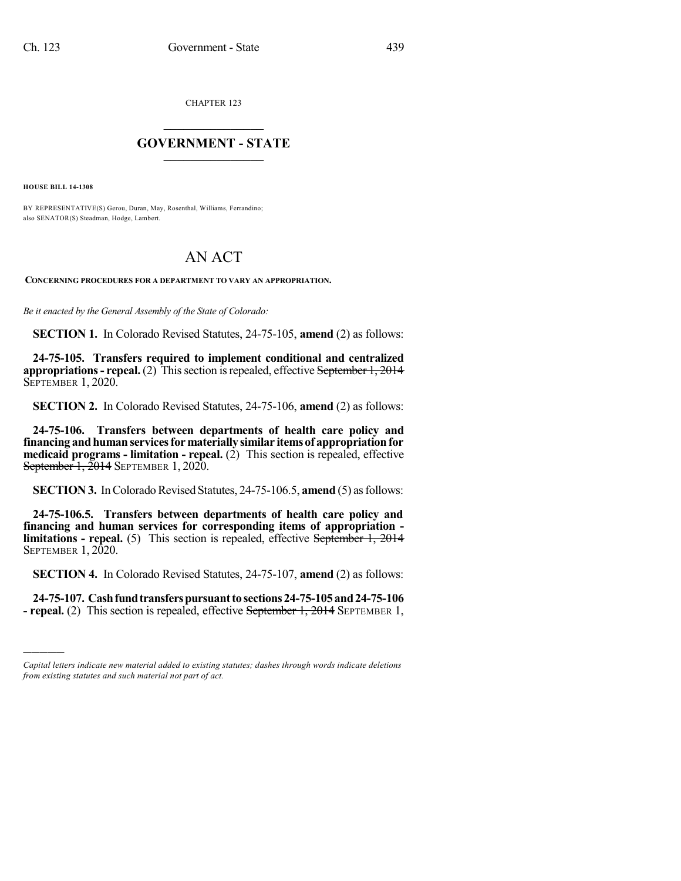CHAPTER 123

## $\overline{\phantom{a}}$  . The set of the set of the set of the set of the set of the set of the set of the set of the set of the set of the set of the set of the set of the set of the set of the set of the set of the set of the set o **GOVERNMENT - STATE**  $\_$

**HOUSE BILL 14-1308**

)))))

BY REPRESENTATIVE(S) Gerou, Duran, May, Rosenthal, Williams, Ferrandino; also SENATOR(S) Steadman, Hodge, Lambert.

## AN ACT

**CONCERNING PROCEDURES FOR A DEPARTMENT TO VARY AN APPROPRIATION.**

*Be it enacted by the General Assembly of the State of Colorado:*

**SECTION 1.** In Colorado Revised Statutes, 24-75-105, **amend** (2) as follows:

**24-75-105. Transfers required to implement conditional and centralized appropriations** - **repeal.** (2) This section is repealed, effective September 1, 2014 **SEPTEMBER 1, 2020.** 

**SECTION 2.** In Colorado Revised Statutes, 24-75-106, **amend** (2) as follows:

**24-75-106. Transfers between departments of health care policy and financing andhumanservicesformaterially similar itemsof appropriationfor medicaid programs - limitation - repeal.** (2) This section is repealed, effective September 1, 2014 SEPTEMBER 1, 2020.

**SECTION 3.** In Colorado Revised Statutes, 24-75-106.5, **amend** (5) as follows:

**24-75-106.5. Transfers between departments of health care policy and financing and human services for corresponding items of appropriation limitations - repeal.** (5) This section is repealed, effective September 1, 2014 SEPTEMBER 1, 2020.

**SECTION 4.** In Colorado Revised Statutes, 24-75-107, **amend** (2) as follows:

**24-75-107. Cashfundtransferspursuanttosections24-75-105and24-75-106 - repeal.** (2) This section is repealed, effective September 1, 2014 SEPTEMBER 1,

*Capital letters indicate new material added to existing statutes; dashes through words indicate deletions from existing statutes and such material not part of act.*